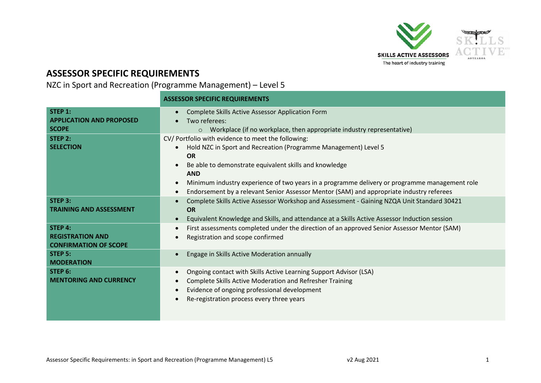

## **ASSESSOR SPECIFIC REQUIREMENTS**

NZC in Sport and Recreation (Programme Management) – Level 5

|                                                                           | <b>ASSESSOR SPECIFIC REQUIREMENTS</b>                                                                                                                                                                                                                                                                                                                                                                                |  |  |
|---------------------------------------------------------------------------|----------------------------------------------------------------------------------------------------------------------------------------------------------------------------------------------------------------------------------------------------------------------------------------------------------------------------------------------------------------------------------------------------------------------|--|--|
| STEP 1:<br><b>APPLICATION AND PROPOSED</b><br><b>SCOPE</b>                | Complete Skills Active Assessor Application Form<br>$\bullet$<br>Two referees:<br>o Workplace (if no workplace, then appropriate industry representative)                                                                                                                                                                                                                                                            |  |  |
| STEP 2:<br><b>SELECTION</b>                                               | CV/ Portfolio with evidence to meet the following:<br>Hold NZC in Sport and Recreation (Programme Management) Level 5<br><b>OR</b><br>Be able to demonstrate equivalent skills and knowledge<br><b>AND</b><br>Minimum industry experience of two years in a programme delivery or programme management role<br>Endorsement by a relevant Senior Assessor Mentor (SAM) and appropriate industry referees<br>$\bullet$ |  |  |
| STEP 3:<br><b>TRAINING AND ASSESSMENT</b>                                 | Complete Skills Active Assessor Workshop and Assessment - Gaining NZQA Unit Standard 30421<br><b>OR</b><br>Equivalent Knowledge and Skills, and attendance at a Skills Active Assessor Induction session                                                                                                                                                                                                             |  |  |
| <b>STEP 4:</b><br><b>REGISTRATION AND</b><br><b>CONFIRMATION OF SCOPE</b> | First assessments completed under the direction of an approved Senior Assessor Mentor (SAM)<br>$\bullet$<br>Registration and scope confirmed                                                                                                                                                                                                                                                                         |  |  |
| STEP <sub>5</sub> :<br><b>MODERATION</b>                                  | Engage in Skills Active Moderation annually                                                                                                                                                                                                                                                                                                                                                                          |  |  |
| STEP 6:<br><b>MENTORING AND CURRENCY</b>                                  | Ongoing contact with Skills Active Learning Support Advisor (LSA)<br>$\bullet$<br>Complete Skills Active Moderation and Refresher Training<br>Evidence of ongoing professional development<br>Re-registration process every three years                                                                                                                                                                              |  |  |